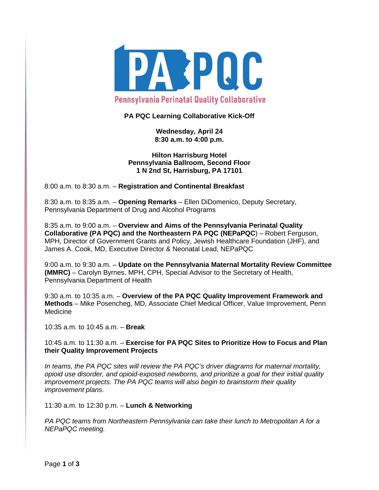

# **PA PQC Learning Collaborative Kick-Off**

**Wednesday, April 24 8:30 a.m. to 4:00 p.m.**

**Hilton Harrisburg Hotel Pennsylvania Ballroom, Second Floor 1 N 2nd St, Harrisburg, PA 17101**

8:00 a.m. to 8:30 a.m. – **Registration and Continental Breakfast**

8:30 a.m. to 8:35 a.m. – **Opening Remarks** – Ellen DiDomenico, Deputy Secretary, Pennsylvania Department of Drug and Alcohol Programs

8:35 a.m. to 9:00 a.m. – **Overview and Aims of the Pennsylvania Perinatal Quality Collaborative (PA PQC) and the Northeastern PA PQC (NEPaPQC**) – Robert Ferguson, MPH, Director of Government Grants and Policy, Jewish Healthcare Foundation (JHF), and James A. Cook, MD, Executive Director & Neonatal Lead, NEPaPQC

9:00 a.m. to 9:30 a.m. – **Update on the Pennsylvania Maternal Mortality Review Committee (MMRC)** – Carolyn Byrnes, MPH, CPH, Special Advisor to the Secretary of Health, Pennsylvania Department of Health

9:30 a.m. to 10:35 a.m. – **Overview of the PA PQC Quality Improvement Framework and Methods** – Mike Posencheg, MD, Associate Chief Medical Officer, Value Improvement, Penn Medicine

10:35 a.m. to 10:45 a.m. – **Break**

10:45 a.m. to 11:30 a.m. – **Exercise for PA PQC Sites to Prioritize How to Focus and Plan their Quality Improvement Projects**

*In teams, the PA PQC sites will review the PA PQC's driver diagrams for maternal mortality, opioid use disorder, and opioid-exposed newborns, and prioritize a goal for their initial quality improvement projects. The PA PQC teams will also begin to brainstorm their quality improvement plans*.

11:30 a.m. to 12:30 p.m. – **Lunch & Networking**

*PA PQC teams from Northeastern Pennsylvania can take their lunch to Metropolitan A for a NEPaPQC meeting.*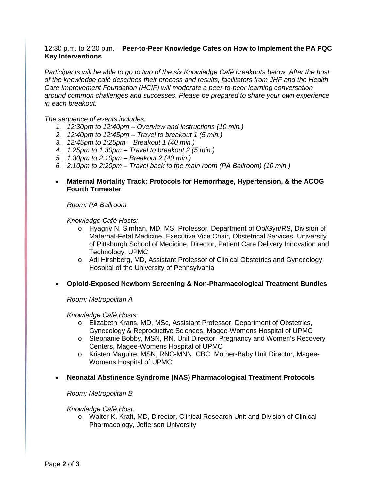# 12:30 p.m. to 2:20 p.m. – **Peer-to-Peer Knowledge Cafes on How to Implement the PA PQC Key Interventions**

*Participants will be able to go to two of the six Knowledge Café breakouts below. After the host of the knowledge café describes their process and results, facilitators from JHF and the Health Care Improvement Foundation (HCIF) will moderate a peer-to-peer learning conversation around common challenges and successes*. *Please be prepared to share your own experience in each breakout.* 

*The sequence of events includes:*

- *1. 12:30pm to 12:40pm – Overview and instructions (10 min.)*
- *2. 12:40pm to 12:45pm – Travel to breakout 1 (5 min.)*
- *3. 12:45pm to 1:25pm – Breakout 1 (40 min.)*
- *4. 1:25pm to 1:30pm – Travel to breakout 2 (5 min.)*
- *5. 1:30pm to 2:10pm – Breakout 2 (40 min.)*
- *6. 2:10pm to 2:20pm – Travel back to the main room (PA Ballroom) (10 min.)*
- **Maternal Mortality Track: Protocols for Hemorrhage, Hypertension, & the ACOG Fourth Trimester**

*Room: PA Ballroom*

*Knowledge Café Hosts:* 

- o Hyagriv N. Simhan, MD, MS, Professor, Department of Ob/Gyn/RS, Division of Maternal-Fetal Medicine, Executive Vice Chair, Obstetrical Services, University of Pittsburgh School of Medicine, Director, Patient Care Delivery Innovation and Technology, UPMC
- o Adi Hirshberg, MD, Assistant Professor of Clinical Obstetrics and Gynecology, Hospital of the University of Pennsylvania
- **Opioid-Exposed Newborn Screening & Non-Pharmacological Treatment Bundles**

*Room: Metropolitan A*

*Knowledge Café Hosts:* 

- o Elizabeth Krans, MD, MSc, Assistant Professor, Department of Obstetrics, Gynecology & Reproductive Sciences, Magee-Womens Hospital of UPMC
- o Stephanie Bobby, MSN, RN, Unit Director, Pregnancy and Women's Recovery Centers, Magee-Womens Hospital of UPMC
- o Kristen Maguire, MSN, RNC-MNN, CBC, Mother-Baby Unit Director, Magee-Womens Hospital of UPMC
- **Neonatal Abstinence Syndrome (NAS) Pharmacological Treatment Protocols**

#### *Room: Metropolitan B*

*Knowledge Café Host:*

o Walter K. Kraft, MD, Director, Clinical Research Unit and Division of Clinical Pharmacology, Jefferson University